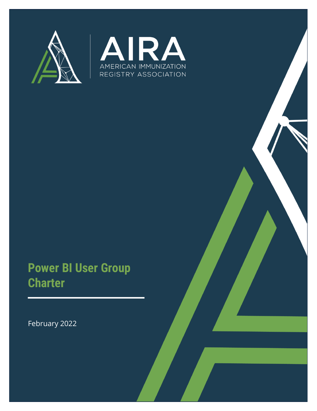



# **Power BI User Group Charter**

February 2022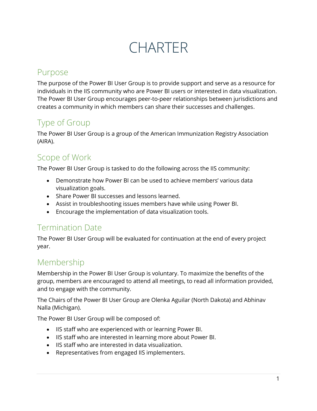CHARTER

#### Purpose

The purpose of the Power BI User Group is to provide support and serve as a resource for individuals in the IIS community who are Power BI users or interested in data visualization. The Power BI User Group encourages peer-to-peer relationships between jurisdictions and creates a community in which members can share their successes and challenges.

## Type of Group

The Power BI User Group is a group of the American Immunization Registry Association (AIRA).

#### Scope of Work

The Power BI User Group is tasked to do the following across the IIS community:

- Demonstrate how Power BI can be used to achieve members' various data visualization goals.
- Share Power BI successes and lessons learned.
- Assist in troubleshooting issues members have while using Power BI.
- Encourage the implementation of data visualization tools.

#### Termination Date

The Power BI User Group will be evaluated for continuation at the end of every project year.

## Membership

Membership in the Power BI User Group is voluntary. To maximize the benefits of the group, members are encouraged to attend all meetings, to read all information provided, and to engage with the community.

The Chairs of the Power BI User Group are Olenka Aguilar (North Dakota) and Abhinav Nalla (Michigan).

The Power BI User Group will be composed of:

- IIS staff who are experienced with or learning Power BI.
- IIS staff who are interested in learning more about Power BI.
- IIS staff who are interested in data visualization.
- Representatives from engaged IIS implementers.